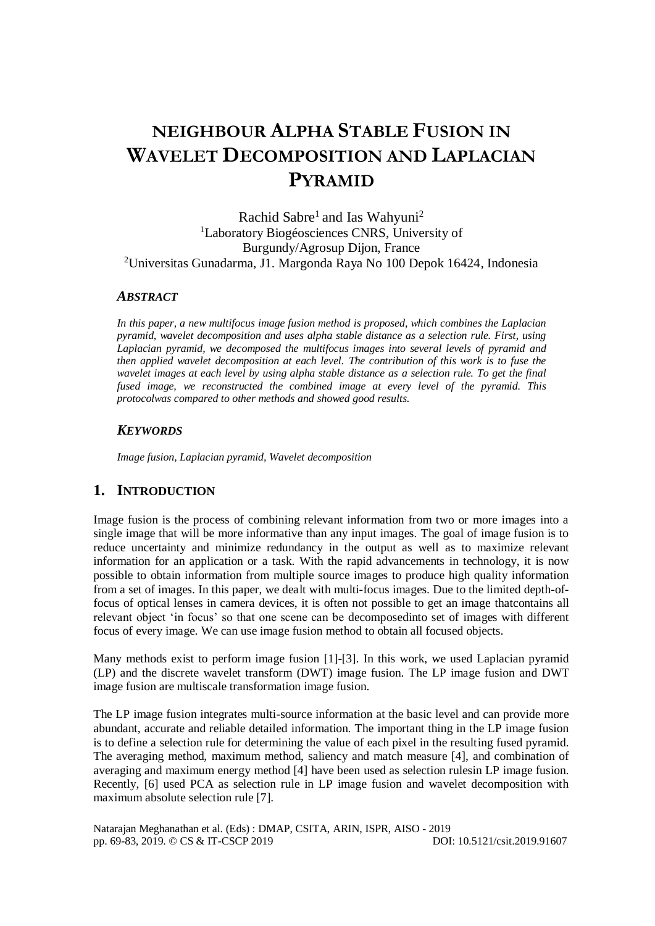# **NEIGHBOUR ALPHA STABLE FUSION IN WAVELET DECOMPOSITION AND LAPLACIAN PYRAMID**

Rachid Sabre<sup>1</sup> and Ias Wahyuni<sup>2</sup> <sup>1</sup>Laboratory Biogéosciences CNRS, University of Burgundy/Agrosup Dijon, France <sup>2</sup>Universitas Gunadarma, J1. Margonda Raya No 100 Depok 16424, Indonesia

#### *ABSTRACT*

*In this paper, a new multifocus image fusion method is proposed, which combines the Laplacian pyramid, wavelet decomposition and uses alpha stable distance as a selection rule. First, using Laplacian pyramid, we decomposed the multifocus images into several levels of pyramid and then applied wavelet decomposition at each level. The contribution of this work is to fuse the wavelet images at each level by using alpha stable distance as a selection rule. To get the final fused image, we reconstructed the combined image at every level of the pyramid. This protocolwas compared to other methods and showed good results.*

#### *KEYWORDS*

*Image fusion, Laplacian pyramid, Wavelet decomposition*

#### **1. INTRODUCTION**

Image fusion is the process of combining relevant information from two or more images into a single image that will be more informative than any input images. The goal of image fusion is to reduce uncertainty and minimize redundancy in the output as well as to maximize relevant information for an application or a task. With the rapid advancements in technology, it is now possible to obtain information from multiple source images to produce high quality information from a set of images. In this paper, we dealt with multi-focus images. Due to the limited depth-offocus of optical lenses in camera devices, it is often not possible to get an image thatcontains all relevant object 'in focus' so that one scene can be decomposedinto set of images with different focus of every image. We can use image fusion method to obtain all focused objects.

Many methods exist to perform image fusion [1]-[3]. In this work, we used Laplacian pyramid (LP) and the discrete wavelet transform (DWT) image fusion. The LP image fusion and DWT image fusion are multiscale transformation image fusion.

The LP image fusion integrates multi-source information at the basic level and can provide more abundant, accurate and reliable detailed information. The important thing in the LP image fusion is to define a selection rule for determining the value of each pixel in the resulting fused pyramid. The averaging method, maximum method, saliency and match measure [4], and combination of averaging and maximum energy method [4] have been used as selection rulesin LP image fusion. Recently, [6] used PCA as selection rule in LP image fusion and wavelet decomposition with maximum absolute selection rule [7].

Natarajan Meghanathan et al. (Eds) : DMAP, CSITA, ARIN, ISPR, AISO - 2019 pp. 69-83, 2019. © CS & IT-CSCP 2019 DOI: 10.5121/csit.2019.91607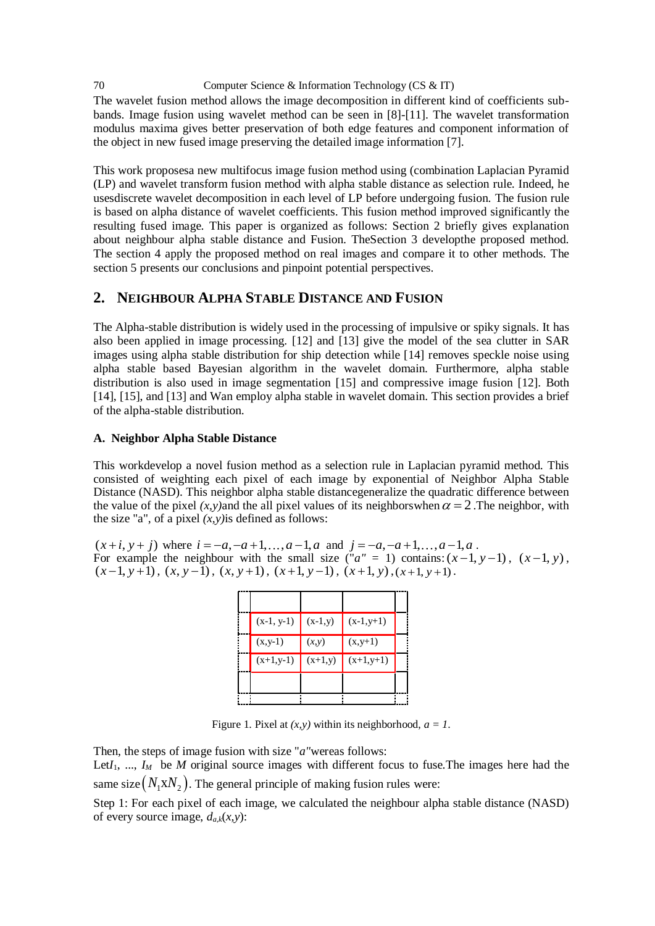The wavelet fusion method allows the image decomposition in different kind of coefficients subbands. Image fusion using wavelet method can be seen in [8]-[11]. The wavelet transformation modulus maxima gives better preservation of both edge features and component information of the object in new fused image preserving the detailed image information [7].

This work proposesa new multifocus image fusion method using (combination Laplacian Pyramid (LP) and wavelet transform fusion method with alpha stable distance as selection rule. Indeed, he usesdiscrete wavelet decomposition in each level of LP before undergoing fusion. The fusion rule is based on alpha distance of wavelet coefficients. This fusion method improved significantly the resulting fused image. This paper is organized as follows: Section 2 briefly gives explanation about neighbour alpha stable distance and Fusion. TheSection 3 developthe proposed method. The section 4 apply the proposed method on real images and compare it to other methods. The section 5 presents our conclusions and pinpoint potential perspectives.

### **2. NEIGHBOUR ALPHA STABLE DISTANCE AND FUSION**

The Alpha-stable distribution is widely used in the processing of impulsive or spiky signals. It has also been applied in image processing. [12] and [13] give the model of the sea clutter in SAR images using alpha stable distribution for ship detection while [14] removes speckle noise using alpha stable based Bayesian algorithm in the wavelet domain. Furthermore, alpha stable distribution is also used in image segmentation [15] and compressive image fusion [12]. Both [14], [15], and [13] and Wan employ alpha stable in wavelet domain. This section provides a brief of the alpha-stable distribution.

#### **A. Neighbor Alpha Stable Distance**

This workdevelop a novel fusion method as a selection rule in Laplacian pyramid method. This consisted of weighting each pixel of each image by exponential of Neighbor Alpha Stable Distance (NASD). This neighbor alpha stable distancegeneralize the quadratic difference between the value of the pixel  $(x, y)$  and the all pixel values of its neighbors when  $\alpha = 2$ . The neighbor, with the size "a", of a pixel  $(x, y)$  is defined as follows:

 $(x+i, y+j)$  where  $i = -a, -a+1, \ldots, a-1, a$  and  $j = -a, -a+1, \ldots, a-1, a$ . For example the neighbour with the small size (" $a'' = 1$ ) contains:  $(x-1, y-1)$ ,  $(x-1, y)$ ,  $(x-1, y+1), (x, y-1), (x, y+1), (x+1, y-1), (x+1, y), (x+1, y+1)$ .

| $(x-1, y-1)$ | $(x-1,y)$ | $(x-1,y+1)$ |  |
|--------------|-----------|-------------|--|
| $(x,y-1)$    | (x,y)     | $(x,y+1)$   |  |
| $(x+1,y-1)$  | $(x+1,y)$ | $(x+1,y+1)$ |  |
|              |           |             |  |
|              |           |             |  |

Figure 1. Pixel at  $(x, y)$  within its neighborhood,  $a = 1$ .

Then, the steps of image fusion with size "*a"*wereas follows:

Let $I_1$ , ...,  $I_M$  be *M* original source images with different focus to fuse. The images here had the same size $\left(N_1 \mathrm{x} N_2\right)$ . The general principle of making fusion rules were:

Step 1: For each pixel of each image, we calculated the neighbour alpha stable distance (NASD) of every source image,  $d_{a,k}(x, y)$ :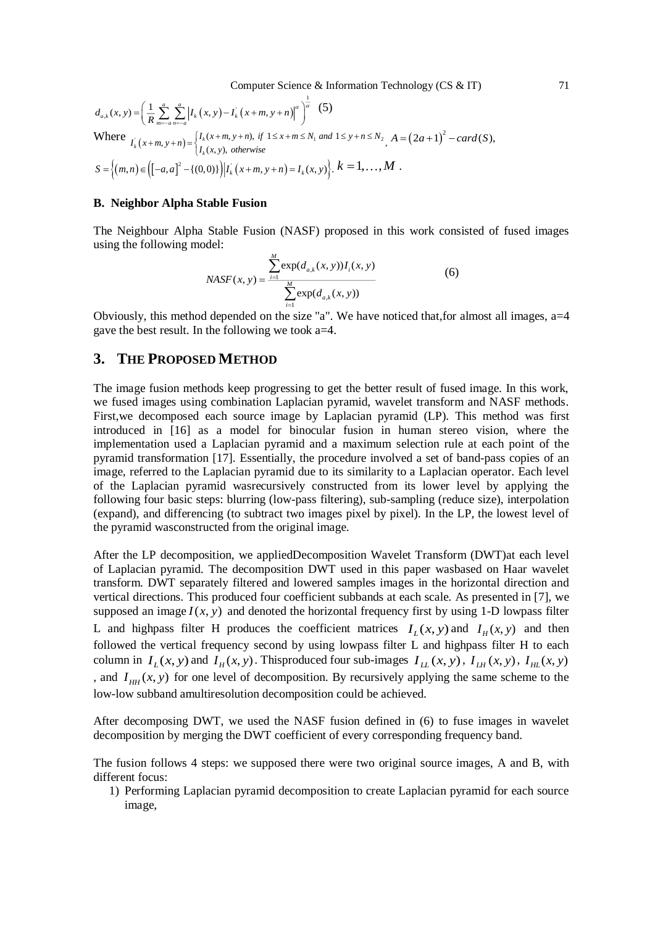$$
d_{a,k}(x, y) = \left(\frac{1}{R} \sum_{m=-a}^{a} \sum_{n=-a}^{a} \left| I_k(x, y) - I_k(x+m, y+n) \right|^a \right)^{\frac{1}{a}} (5)
$$
  
Where 
$$
I_k(x+m, y+n) = \begin{cases} I_k(x+m, y+n), & \text{if } 1 \le x+m \le N_1 \text{ and } 1 \le y+n \le N_2, A = (2a+1)^2 - card(S), \\ I_k(x, y), & \text{otherwise} \end{cases}
$$

$$
S = \left\{ (m, n) \in \left( [-a, a]^2 - \{(0, 0)\} \right) \middle| I_k(x+m, y+n) = I_k(x, y) \right\}, k = 1, ..., M.
$$

#### **B. Neighbor Alpha Stable Fusion**

The Neighbour Alpha Stable Fusion (NASF) proposed in this work consisted of fused images using the following model:

$$
NASF(x, y) = \frac{\sum_{i=1}^{M} \exp(d_{a,k}(x, y)) I_i(x, y)}{\sum_{i=1}^{M} \exp(d_{a,k}(x, y))}
$$
(6)

Obviously, this method depended on the size "a". We have noticed that,for almost all images, a=4 gave the best result. In the following we took a=4.

#### **3. THE PROPOSED METHOD**

The image fusion methods keep progressing to get the better result of fused image. In this work, we fused images using combination Laplacian pyramid, wavelet transform and NASF methods. First,we decomposed each source image by Laplacian pyramid (LP). This method was first introduced in [16] as a model for binocular fusion in human stereo vision, where the implementation used a Laplacian pyramid and a maximum selection rule at each point of the pyramid transformation [17]. Essentially, the procedure involved a set of band-pass copies of an image, referred to the Laplacian pyramid due to its similarity to a Laplacian operator. Each level of the Laplacian pyramid wasrecursively constructed from its lower level by applying the following four basic steps: blurring (low-pass filtering), sub-sampling (reduce size), interpolation (expand), and differencing (to subtract two images pixel by pixel). In the LP, the lowest level of the pyramid wasconstructed from the original image.

After the LP decomposition, we appliedDecomposition Wavelet Transform (DWT)at each level of Laplacian pyramid. The decomposition DWT used in this paper wasbased on Haar wavelet transform. DWT separately filtered and lowered samples images in the horizontal direction and vertical directions. This produced four coefficient subbands at each scale. As presented in [7], we supposed an image  $I(x, y)$  and denoted the horizontal frequency first by using 1-D lowpass filter L and highpass filter H produces the coefficient matrices  $I_L(x, y)$  and  $I_H(x, y)$  and then followed the vertical frequency second by using lowpass filter L and highpass filter H to each column in  $I_L(x, y)$  and  $I_H(x, y)$ . This produced four sub-images  $I_{LL}(x, y)$ ,  $I_{LH}(x, y)$ ,  $I_{HL}(x, y)$ , and  $I_{HH}(x, y)$  for one level of decomposition. By recursively applying the same scheme to the low-low subband amultiresolution decomposition could be achieved.

After decomposing DWT, we used the NASF fusion defined in (6) to fuse images in wavelet decomposition by merging the DWT coefficient of every corresponding frequency band.

The fusion follows 4 steps: we supposed there were two original source images, A and B, with different focus:

1) Performing Laplacian pyramid decomposition to create Laplacian pyramid for each source image,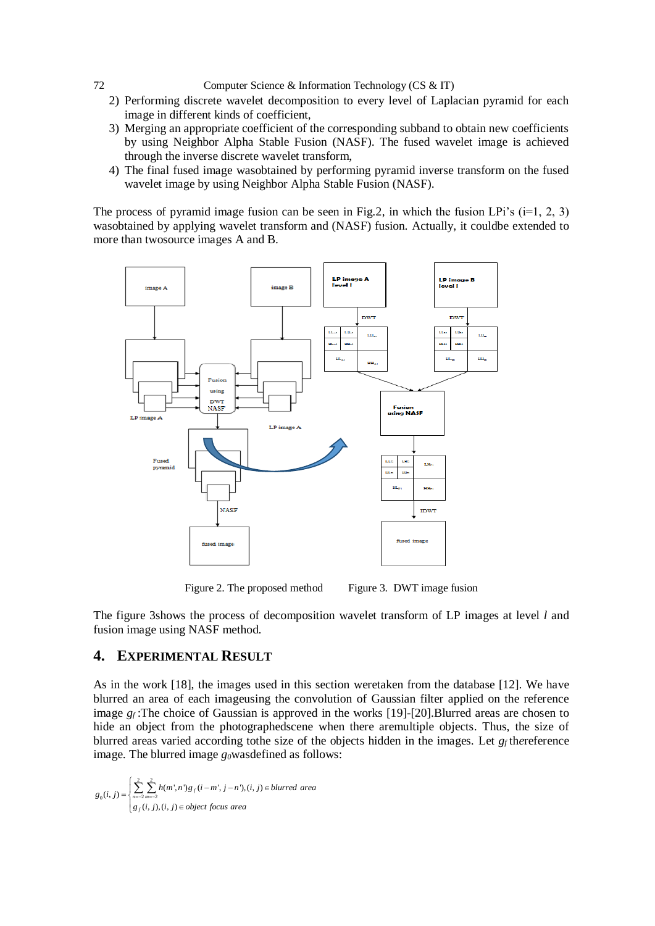- 2) Performing discrete wavelet decomposition to every level of Laplacian pyramid for each image in different kinds of coefficient,
- 3) Merging an appropriate coefficient of the corresponding subband to obtain new coefficients by using Neighbor Alpha Stable Fusion (NASF). The fused wavelet image is achieved through the inverse discrete wavelet transform,
- 4) The final fused image wasobtained by performing pyramid inverse transform on the fused wavelet image by using Neighbor Alpha Stable Fusion (NASF).

The process of pyramid image fusion can be seen in Fig.2, in which the fusion LPi's  $(i=1, 2, 3)$ wasobtained by applying wavelet transform and (NASF) fusion. Actually, it couldbe extended to more than twosource images A and B.



Figure 2. The proposed method Figure 3. DWT image fusion

The figure 3shows the process of decomposition wavelet transform of LP images at level *l* and fusion image using NASF method.

## **4. EXPERIMENTAL RESULT**

As in the work [18], the images used in this section weretaken from the database [12]. We have blurred an area of each imageusing the convolution of Gaussian filter applied on the reference image  $g_f$ :The choice of Gaussian is approved in the works [19]-[20]. Blurred areas are chosen to hide an object from the photographedscene when there aremultiple objects. Thus, the size of blurred areas varied according tothe size of the objects hidden in the images. Let *gf* th*e*reference image. The blurred image  $g_0$ wasdefined as follows:

$$
g_0(i, j) = \begin{cases} \sum_{n=-2}^{2} \sum_{m=-2}^{2} h(m', n')g_j(i-m', j-n'), (i, j) \in blurred \ area \\ g_j(i, j), (i, j) \in object \ focus \ area \end{cases}
$$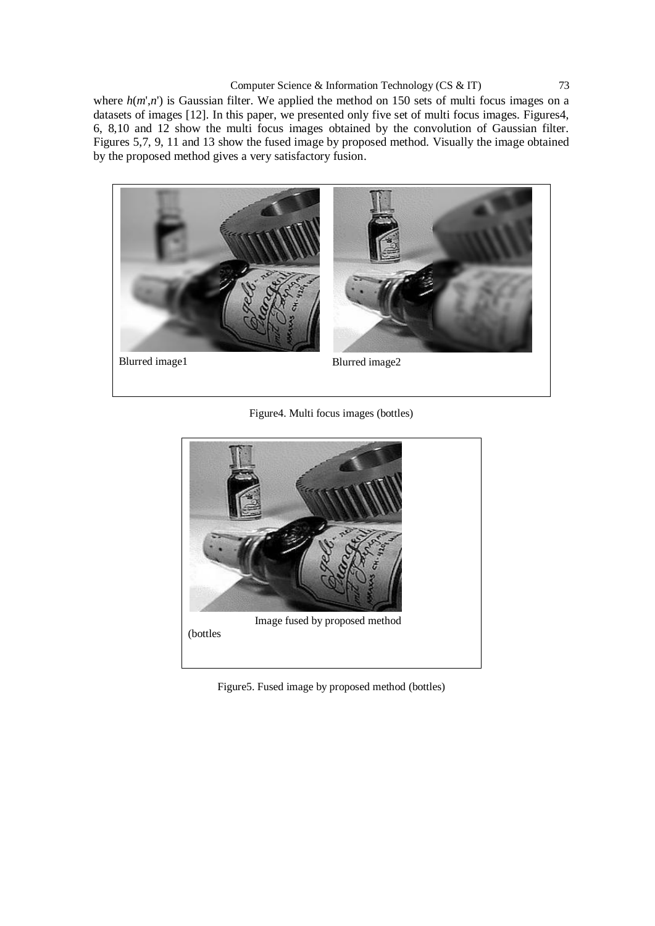where  $h(m', n')$  is Gaussian filter. We applied the method on 150 sets of multi focus images on a datasets of images [12]. In this paper, we presented only five set of multi focus images. Figures4, 6, 8,10 and 12 show the multi focus images obtained by the convolution of Gaussian filter. Figures 5,7, 9, 11 and 13 show the fused image by proposed method. Visually the image obtained by the proposed method gives a very satisfactory fusion.



Figure4. Multi focus images (bottles)



Figure5. Fused image by proposed method (bottles)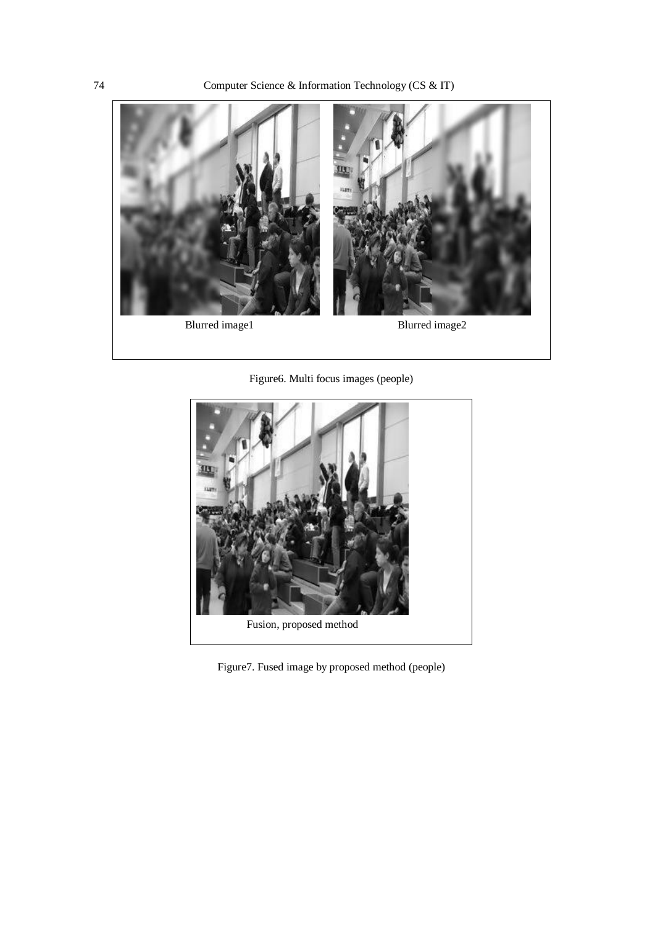

Figure6. Multi focus images (people)



Figure7. Fused image by proposed method (people)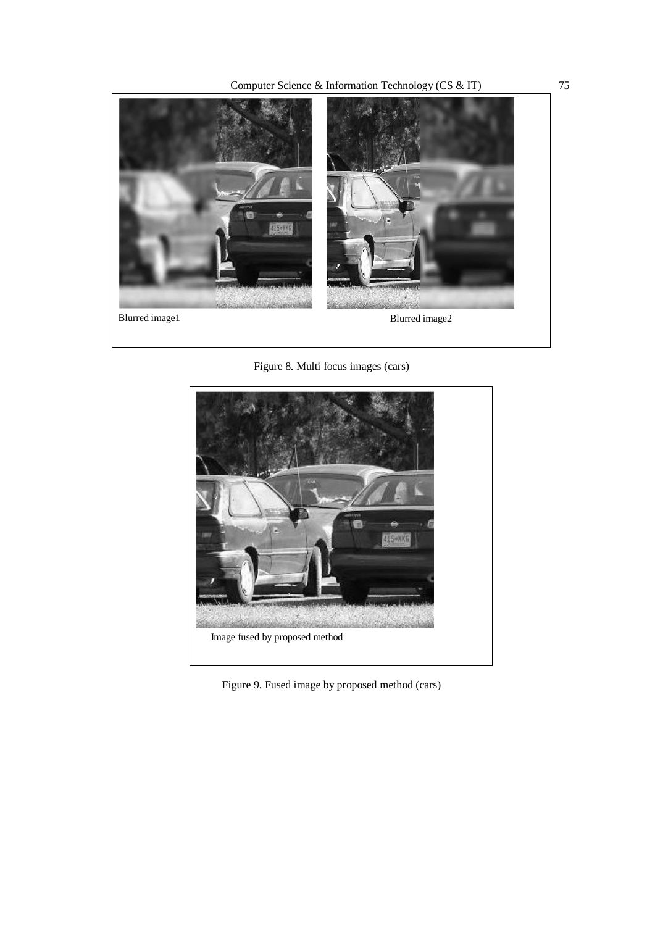Computer Science & Information Technology (CS & IT) 75



Figure 8. Multi focus images (cars)



Figure 9. Fused image by proposed method (cars)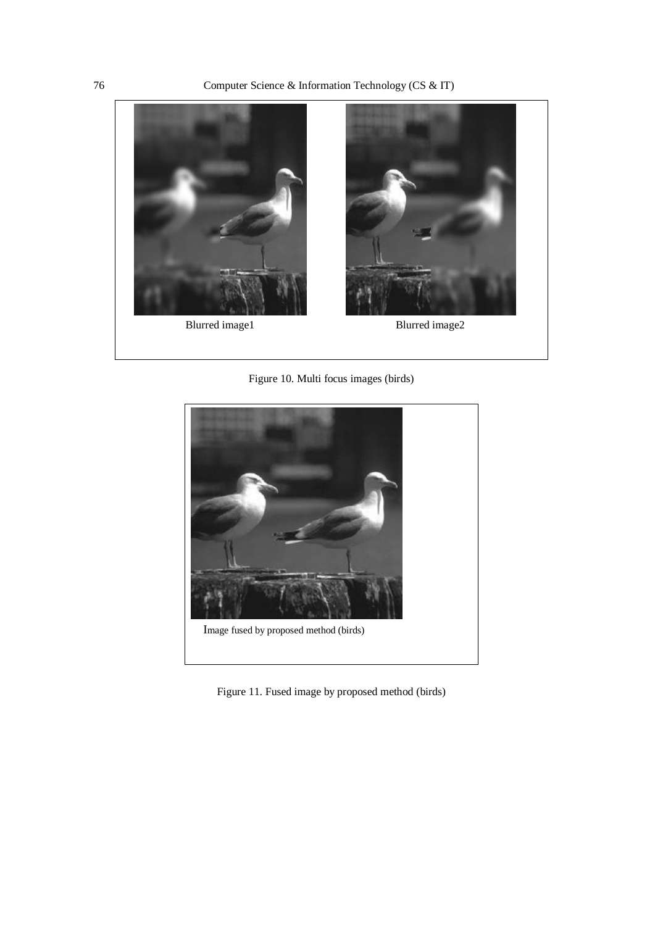

Figure 10. Multi focus images (birds)



Figure 11. Fused image by proposed method (birds)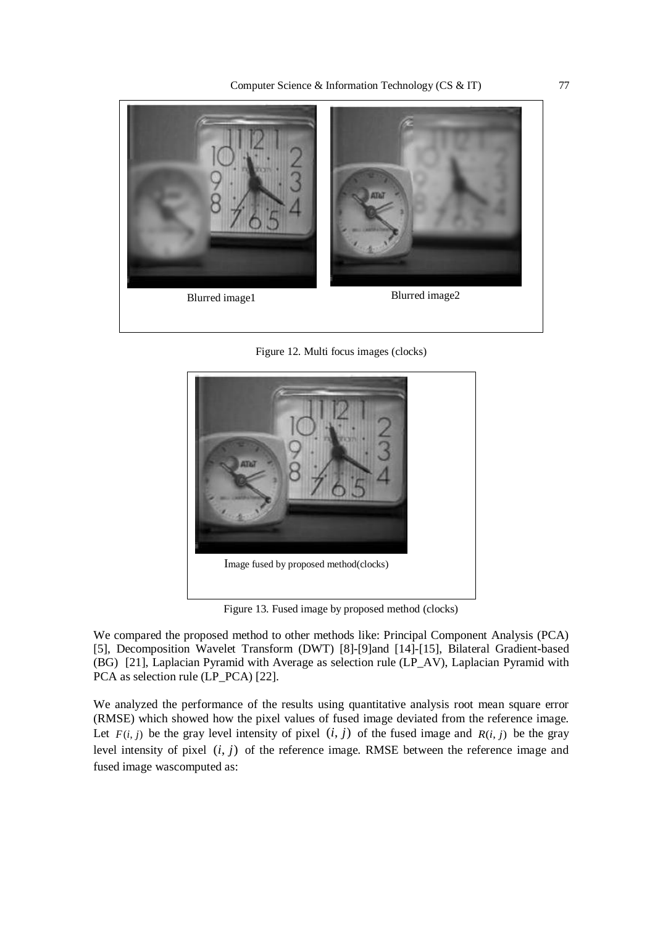

Figure 12. Multi focus images (clocks)



Figure 13. Fused image by proposed method (clocks)

We compared the proposed method to other methods like: Principal Component Analysis (PCA) [5], Decomposition Wavelet Transform (DWT) [8]-[9]and [14]-[15], Bilateral Gradient-based (BG) [21], Laplacian Pyramid with Average as selection rule (LP\_AV), Laplacian Pyramid with PCA as selection rule (LP\_PCA) [22].

We analyzed the performance of the results using quantitative analysis root mean square error (RMSE) which showed how the pixel values of fused image deviated from the reference image. Let  $F(i, j)$  be the gray level intensity of pixel  $(i, j)$  of the fused image and  $R(i, j)$  be the gray level intensity of pixel  $(i, j)$  of the reference image. RMSE between the reference image and fused image wascomputed as: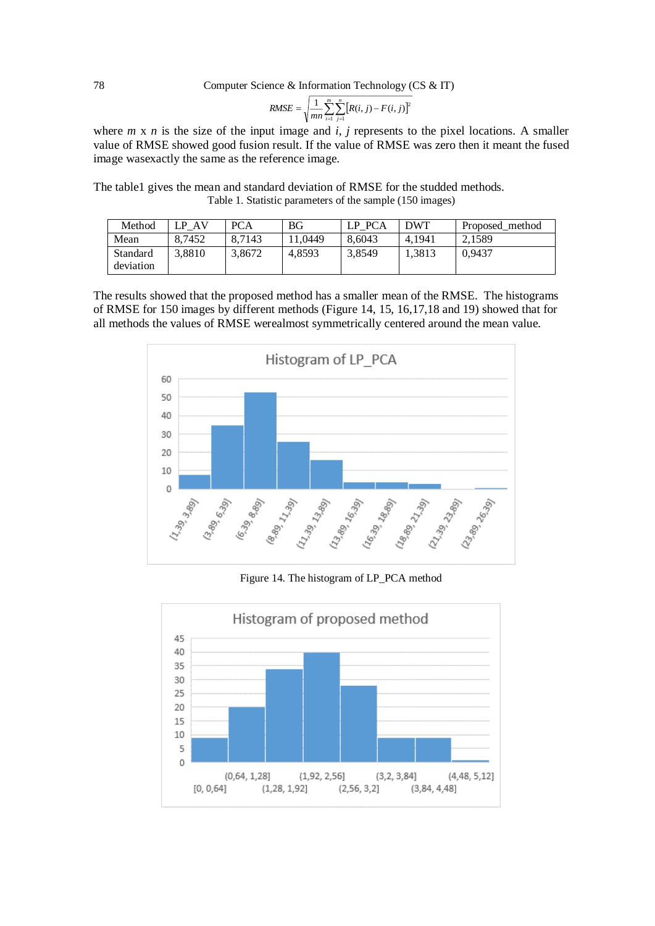RMSE = 
$$
\sqrt{\frac{1}{mn} \sum_{i=1}^{m} \sum_{j=1}^{n} [R(i, j) - F(i, j)]^2}
$$

where  $m \times n$  is the size of the input image and  $i$ ,  $j$  represents to the pixel locations. A smaller value of RMSE showed good fusion result. If the value of RMSE was zero then it meant the fused image wasexactly the same as the reference image.

The table1 gives the mean and standard deviation of RMSE for the studded methods. Table 1. Statistic parameters of the sample (150 images)

| Method                | - AV<br>P | PCA    | ΒG     | LP PCA | <b>DWT</b> | Proposed method |
|-----------------------|-----------|--------|--------|--------|------------|-----------------|
| Mean                  | 8.7452    | 8.7143 | 1.0449 | 8.6043 | 4.1941     | 2.1589          |
| Standard<br>deviation | 3.8810    | 3.8672 | 4.8593 | 3,8549 | 1.3813     | 0.9437          |

The results showed that the proposed method has a smaller mean of the RMSE. The histograms of RMSE for 150 images by different methods (Figure 14, 15, 16,17,18 and 19) showed that for all methods the values of RMSE werealmost symmetrically centered around the mean value.



Figure 14. The histogram of LP\_PCA method

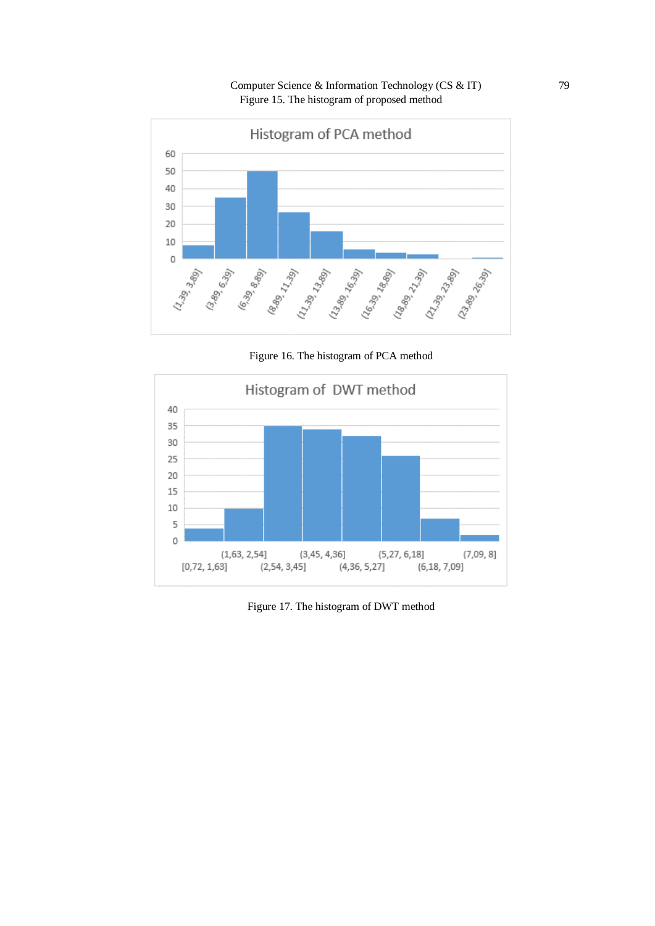Computer Science & Information Technology (CS & IT) 79 Figure 15. The histogram of proposed method



Figure 16. The histogram of PCA method



Figure 17. The histogram of DWT method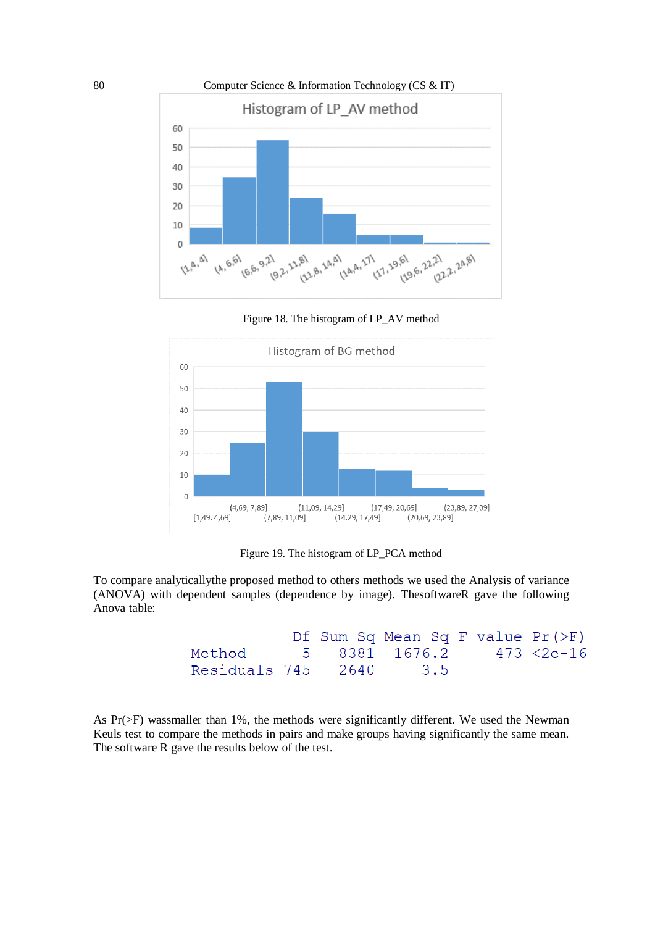





Figure 19. The histogram of LP\_PCA method

To compare analyticallythe proposed method to others methods we used the Analysis of variance (ANOVA) with dependent samples (dependence by image). ThesoftwareR gave the following Anova table:

```
Df Sum Sq Mean Sq F value Pr (>F)
Method
             5
                       1676.2
                                   473 < 2e-168381
Residuals 745
                 26403.5
```
As Pr(>F) wassmaller than 1%, the methods were significantly different. We used the Newman Keuls test to compare the methods in pairs and make groups having significantly the same mean. The software R gave the results below of the test.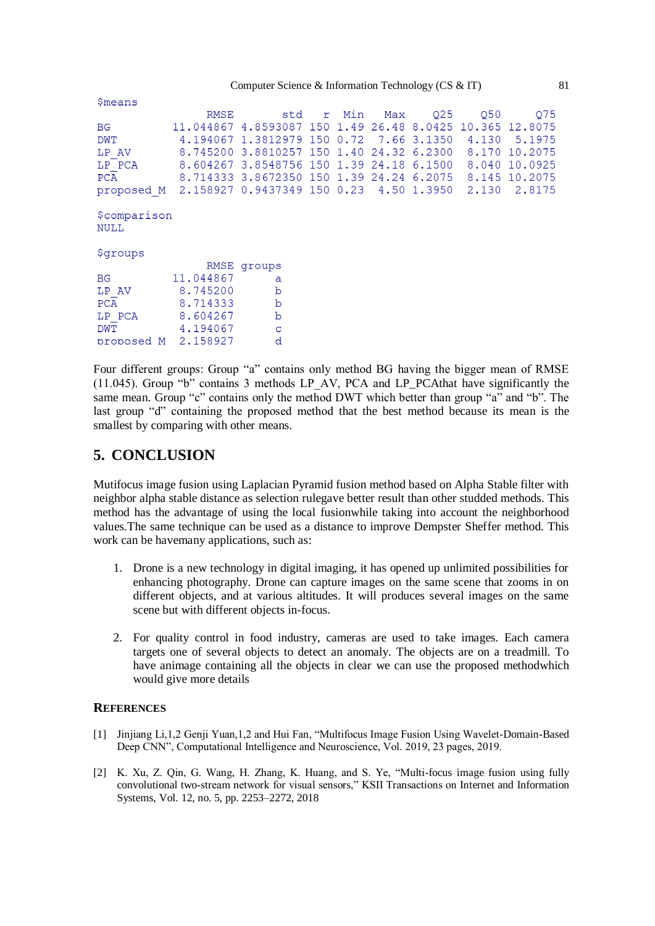| <b>Smeans</b>                                                   |           |                                                          |     |           |                         |                             |                 |                                 |
|-----------------------------------------------------------------|-----------|----------------------------------------------------------|-----|-----------|-------------------------|-----------------------------|-----------------|---------------------------------|
|                                                                 | RMSE      |                                                          |     | std r Min |                         | Max Q25                     | O <sub>50</sub> | 075                             |
| <b>BG</b>                                                       |           | 11.044867 4.8593087 150 1.49 26.48 8.0425 10.365 12.8075 |     |           |                         |                             |                 |                                 |
| DWT                                                             |           | 4.194067 1.3812979                                       | 150 | 0.72      |                         | 7.66 3.1350                 | 4.130           | 5.1975                          |
| LP AV                                                           |           | 8.745200 3.8810257 150 1.40                              |     |           |                         | 24.32 6.2300                | 8.170           | 10.2075                         |
| LP PCA                                                          |           | 8.604267 3.8548756 150 1.39 24.18                        |     |           |                         | 6.1500                      |                 | 8.040 10.0925                   |
| PCA                                                             |           | 8.714333 3.8672350 150 1.39                              |     |           |                         |                             |                 | 24.24 6.2075 8.145 10.2075      |
| proposed M 2.158927 0.9437349 150 0.23 4.50 1.3950 2.130 2.8175 |           |                                                          |     |           |                         |                             |                 |                                 |
| <i><b>\$comparison</b></i><br><b>NULL</b>                       |           |                                                          |     |           |                         |                             |                 |                                 |
| <i><b>\$groups</b></i>                                          |           |                                                          |     |           |                         |                             |                 |                                 |
|                                                                 |           | RMSE groups                                              |     |           |                         |                             |                 |                                 |
| <b>BG</b>                                                       | 11.044867 | a                                                        |     |           |                         |                             |                 |                                 |
| LP AV                                                           | 8.745200  | $\mathbf b$                                              |     |           |                         |                             |                 |                                 |
| <b>PCA</b>                                                      | 8,714333  | $\mathbf b$                                              |     |           |                         |                             |                 |                                 |
| LP PCA                                                          | 8.604267  | $\mathbf b$                                              |     |           |                         |                             |                 |                                 |
| <b>DWT</b>                                                      | 4.194067  | $\mathbf C$                                              |     |           |                         |                             |                 |                                 |
| proposed M 2.158927                                             |           | d                                                        |     |           |                         |                             |                 |                                 |
| 1.00                                                            | $\sim$    |                                                          |     |           | $1 \t1 \t1$ $1 \t2 \t1$ | $\sim$ $\sim$ $\sim$ $\sim$ |                 | $c \overline{D}$ $\overline{I}$ |

Four different groups: Group "a" contains only method BG having the bigger mean of RMSE (11.045). Group "b" contains 3 methods LP\_AV, PCA and LP\_PCAthat have significantly the same mean. Group "c" contains only the method DWT which better than group "a" and "b". The last group "d" containing the proposed method that the best method because its mean is the smallest by comparing with other means.

# **5. CONCLUSION**

Mutifocus image fusion using Laplacian Pyramid fusion method based on Alpha Stable filter with neighbor alpha stable distance as selection rulegave better result than other studded methods. This method has the advantage of using the local fusionwhile taking into account the neighborhood values.The same technique can be used as a distance to improve Dempster Sheffer method. This work can be havemany applications, such as:

- 1. Drone is a new technology in digital imaging, it has opened up unlimited possibilities for enhancing photography. Drone can capture images on the same scene that zooms in on different objects, and at various altitudes. It will produces several images on the same scene but with different objects in-focus.
- 2. For quality control in food industry, cameras are used to take images. Each camera targets one of several objects to detect an anomaly. The objects are on a treadmill. To have animage containing all the objects in clear we can use the proposed methodwhich would give more details

#### **REFERENCES**

- [1] Jinjiang Li,1,2 Genji Yuan,1,2 and Hui Fan, "Multifocus Image Fusion Using Wavelet-Domain-Based Deep CNN", Computational Intelligence and Neuroscience, Vol. 2019, 23 pages, 2019.
- [2] K. Xu, Z. Qin, G. Wang, H. Zhang, K. Huang, and S. Ye, "Multi-focus image fusion using fully convolutional two-stream network for visual sensors," KSII Transactions on Internet and Information Systems, Vol. 12, no. 5, pp. 2253–2272, 2018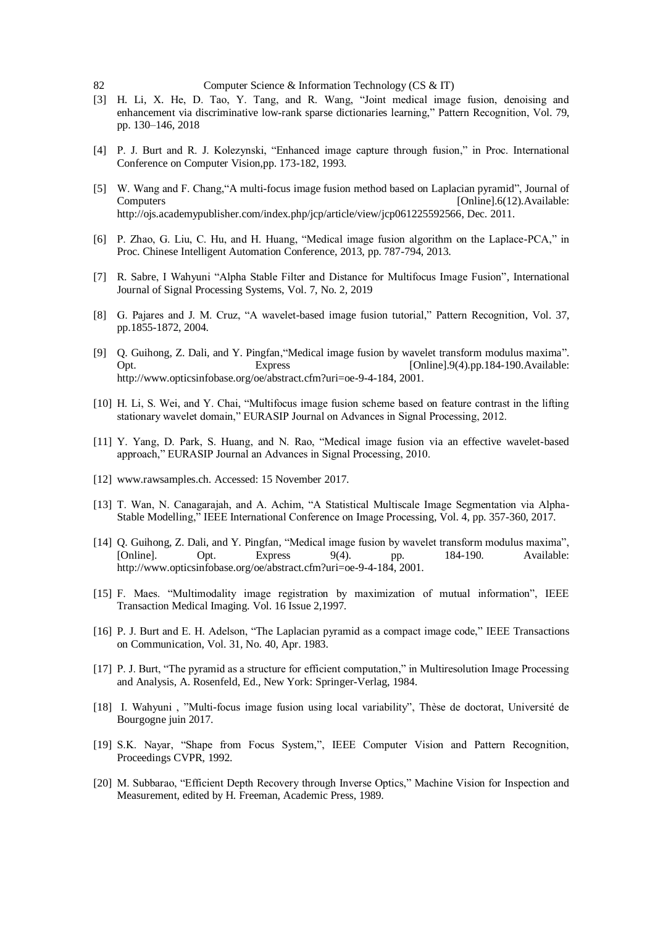- [3] H. Li, X. He, D. Tao, Y. Tang, and R. Wang, "Joint medical image fusion, denoising and enhancement via discriminative low-rank sparse dictionaries learning," Pattern Recognition, Vol. 79, pp. 130–146, 2018
- [4] P. J. Burt and R. J. Kolezynski, "Enhanced image capture through fusion," in Proc. International Conference on Computer Vision,pp. 173-182, 1993.
- [5] W. Wang and F. Chang,"A multi-focus image fusion method based on Laplacian pyramid", Journal of Computers [Online].6(12).Available: http://ojs.academypublisher.com/index.php/jcp/article/view/jcp061225592566, Dec. 2011.
- [6] P. Zhao, G. Liu, C. Hu, and H. Huang, "Medical image fusion algorithm on the Laplace-PCA," in Proc. Chinese Intelligent Automation Conference, 2013, pp. 787-794, 2013.
- [7] R. Sabre, I Wahyuni "Alpha Stable Filter and Distance for Multifocus Image Fusion", International Journal of Signal Processing Systems, Vol. 7, No. 2, 2019
- [8] G. Pajares and J. M. Cruz, "A wavelet-based image fusion tutorial," Pattern Recognition, Vol. 37, pp.1855-1872, 2004.
- [9] Q. Guihong, Z. Dali, and Y. Pingfan,"Medical image fusion by wavelet transform modulus maxima". Opt. Express [Online].9(4).pp.184-190.Available: http://www.opticsinfobase.org/oe/abstract.cfm?uri=oe-9-4-184, 2001.
- [10] H. Li, S. Wei, and Y. Chai, "Multifocus image fusion scheme based on feature contrast in the lifting stationary wavelet domain," EURASIP Journal on Advances in Signal Processing, 2012.
- [11] Y. Yang, D. Park, S. Huang, and N. Rao, "Medical image fusion via an effective wavelet-based approach," EURASIP Journal an Advances in Signal Processing, 2010.
- [12] www.rawsamples.ch. Accessed: 15 November 2017.
- [13] T. Wan, N. Canagarajah, and A. Achim, "A Statistical Multiscale Image Segmentation via Alpha-Stable Modelling," IEEE International Conference on Image Processing, Vol. 4, pp. 357-360, 2017.
- [14] Q. Guihong, Z. Dali, and Y. Pingfan, "Medical image fusion by wavelet transform modulus maxima", [Online]. Opt. Express 9(4). pp. 184-190. Available: http://www.opticsinfobase.org/oe/abstract.cfm?uri=oe-9-4-184, 2001.
- [15] F. Maes. "Multimodality image registration by maximization of mutual information", IEEE Transaction Medical Imaging. Vol. 16 Issue 2,1997.
- [16] P. J. Burt and E. H. Adelson, "The Laplacian pyramid as a compact image code," IEEE Transactions on Communication, Vol. 31, No. 40, Apr. 1983.
- [17] P. J. Burt, "The pyramid as a structure for efficient computation," in Multiresolution Image Processing and Analysis, A. Rosenfeld, Ed., New York: Springer-Verlag, 1984.
- [18] I. Wahyuni , "Multi-focus image fusion using local variability", Thèse de doctorat, Université de Bourgogne juin 2017.
- [19] S.K. Nayar, "Shape from Focus System,", IEEE Computer Vision and Pattern Recognition, Proceedings CVPR, 1992.
- [20] M. Subbarao, "Efficient Depth Recovery through Inverse Optics," Machine Vision for Inspection and Measurement, edited by H. Freeman, Academic Press, 1989.